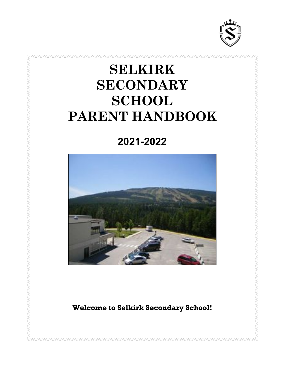

# **SELKIRK SECONDARY SCHOOL PARENT HANDBOOK**

**2021-2022**



**Welcome to Selkirk Secondary School!**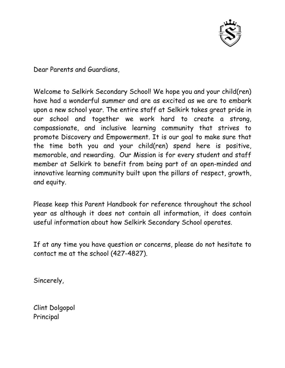

Dear Parents and Guardians,

Welcome to Selkirk Secondary School! We hope you and your child(ren) have had a wonderful summer and are as excited as we are to embark upon a new school year. The entire staff at Selkirk takes great pride in our school and together we work hard to create a strong, compassionate, and inclusive learning community that strives to promote Discovery and Empowerment. It is our goal to make sure that the time both you and your child(ren) spend here is positive, memorable, and rewarding. Our Mission is for every student and staff member at Selkirk to benefit from being part of an open-minded and innovative learning community built upon the pillars of respect, growth, and equity.

Please keep this Parent Handbook for reference throughout the school year as although it does not contain all information, it does contain useful information about how Selkirk Secondary School operates.

If at any time you have question or concerns, please do not hesitate to contact me at the school (427-4827).

Sincerely,

Clint Dolgopol Principal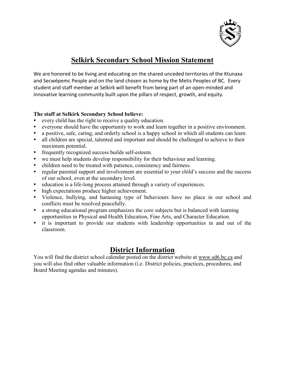

#### **Selkirk Secondary School Mission Statement**

We are honored to be living and educating on the shared unceded territories of the Ktunaxa and Secwépemc People and on the land chosen as home by the Metis Peoples of BC. Every student and staff member at Selkirk will benefit from being part of an open-minded and innovative learning community built upon the pillars of respect, growth, and equity.

#### **The staff at Selkirk Secondary School believe:**

- every child has the right to receive a quality education.
- everyone should have the opportunity to work and learn together in a positive environment.
- a positive, safe, caring, and orderly school is a happy school in which all students can learn
- all children are special, talented and important and should be challenged to achieve to their maximum potential.
- frequently recognized success builds self-esteem.
- we must help students develop responsibility for their behaviour and learning.
- children need to be treated with patience, consistency and fairness.
- regular parental support and involvement are essential to your child's success and the success of our school, even at the secondary level.
- education is a life-long process attained through a variety of experiences.
- high expectations produce higher achievement.
- Violence, bullying, and harassing type of behaviours have no place in our school and conflicts must be resolved peacefully.
- a strong educational program emphasizes the core subjects but is balanced with learning opportunities in Physical and Health Education, Fine Arts, and Character Education.
- it is important to provide our students with leadership opportunities in and out of the classroom.

## **District Information**

You will find the district school calendar posted on the district website at [www.sd6.bc.ca](http://www.sd6.bc.ca/) and you will also find other valuable information (i.e. District policies, practices, procedures, and Board Meeting agendas and minutes).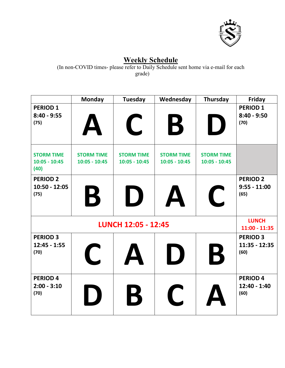

# **Weekly Schedule**

(In non-COVID times- please refer to Daily Schedule sent home via e-mail for each grade)

|                                              | <b>Monday</b>                         | <b>Tuesday</b>                       | Wednesday                                      | Thursday                             | <b>Friday</b>                              |
|----------------------------------------------|---------------------------------------|--------------------------------------|------------------------------------------------|--------------------------------------|--------------------------------------------|
| <b>PERIOD 1</b><br>$8:40 - 9:55$<br>(75)     |                                       | $\blacklozenge$                      | B                                              | $\bigcup$                            | <b>PERIOD 1</b><br>$8:40 - 9:50$<br>(70)   |
| <b>STORM TIME</b><br>$10:05 - 10:45$<br>(40) | <b>STORM TIME</b><br>$10:05 - 10:45$  | <b>STORM TIME</b><br>$10:05 - 10:45$ | <b>STORM TIME</b><br>$10:05 - 10:45$           | <b>STORM TIME</b><br>$10:05 - 10:45$ |                                            |
| <b>PERIOD 2</b><br>10:50 - 12:05<br>(75)     | B                                     | I)                                   |                                                | $\mathbf C$                          | <b>PERIOD 2</b><br>$9:55 - 11:00$<br>(65)  |
| <b>LUNCH 12:05 - 12:45</b>                   |                                       |                                      |                                                |                                      | <b>LUNCH</b><br>$11:00 - 11:35$            |
| <b>PERIOD 3</b><br>$12:45 - 1:55$<br>(70)    | $\mathbf C$                           | $\mathbf{\Delta}$                    | $\begin{pmatrix} 1 & 1 \\ 1 & 1 \end{pmatrix}$ | B                                    | <b>PERIOD 3</b><br>$11:35 - 12:35$<br>(60) |
| <b>PERIOD 4</b><br>$2:00 - 3:10$<br>(70)     | $\begin{pmatrix} 1 & 1 \end{pmatrix}$ | B                                    | $\overline{\mathcal{L}}$                       |                                      | <b>PERIOD 4</b><br>12:40 - 1:40<br>(60)    |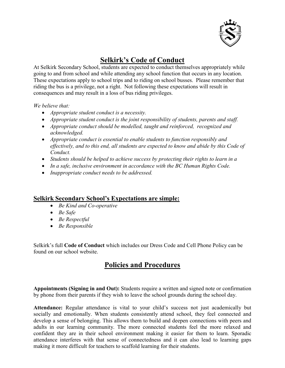

## **Selkirk's Code of Conduct**

At Selkirk Secondary School, students are expected to conduct themselves appropriately while going to and from school and while attending any school function that occurs in any location. These expectations apply to school trips and to riding on school busses. Please remember that riding the bus is a privilege, not a right. Not following these expectations will result in consequences and may result in a loss of bus riding privileges.

*We believe that:*

- *Appropriate student conduct is a necessity.*
- *Appropriate student conduct is the joint responsibility of students, parents and staff.*
- *Appropriate conduct should be modelled, taught and reinforced, recognized and acknowledged.*
- *Appropriate conduct is essential to enable students to function responsibly and effectively, and to this end, all students are expected to know and abide by this Code of Conduct.*
- *Students should be helped to achieve success by protecting their rights to learn in a*
- *In a safe, inclusive environment in accordance with the BC Human Rights Code.*
- *Inappropriate conduct needs to be addressed.*

#### **Selkirk Secondary School's Expectations are simple:**

- *Be Kind and Co-operative*
- *Be Safe*
- *Be Respectful*
- *Be Responsible*

Selkirk's full **Code of Conduct** which includes our Dress Code and Cell Phone Policy can be found on our school website.

## **Policies and Procedures**

**Appointments (Signing in and Out):** Students require a written and signed note or confirmation by phone from their parents if they wish to leave the school grounds during the school day.

**Attendance:** Regular attendance is vital to your child's success not just academically but socially and emotionally. When students consistently attend school, they feel connected and develop a sense of belonging. This allows them to build and deepen connections with peers and adults in our learning community. The more connected students feel the more relaxed and confident they are in their school environment making it easier for them to learn. Sporadic attendance interferes with that sense of connectedness and it can also lead to learning gaps making it more difficult for teachers to scaffold learning for their students.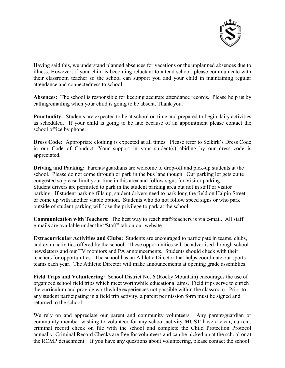

Having said this, we understand planned absences for vacations or the unplanned absences due to illness. However, if your child is becoming reluctant to attend school, please communicate with their classroom teacher so the school can support you and your child in maintaining regular attendance and connectedness to school.

**Absences:** The school is responsible for keeping accurate attendance records. Please help us by calling/emailing when your child is going to be absent. Thank you.

**Punctuality:** Students are expected to be at school on time and prepared to begin daily activities as scheduled. If your child is going to be late because of an appointment please contact the school office by phone.

**Dress Code:** Appropriate clothing is expected at all times. Please refer to Selkirk's Dress Code in our Code of Conduct. Your support in your student(s) abiding by our dress code is appreciated.

**Driving and Parking:** Parents/guardians are welcome to drop-off and pick-up students at the school. Please do not come through or park in the bus lane though. Our parking lot gets quite congested so please limit your time in this area and follow signs for Visitor parking. Student drivers are permitted to park in the student parking area but not in staff or visitor parking. If student parking fills up, student drivers need to park long the field on Halpin Street or come up with another viable option. Students who do not follow speed signs or who park outside of student parking will lose the privilege to park at the school.

**Communication with Teachers:** The best way to reach staff/teachers is via e-mail. All staff e-mails are available under the "Staff" tab on our website.

**Extracurricular Activities and Clubs:** Students are encouraged to participate in teams, clubs, and extra activities offered by the school. These opportunities will be advertised through school newsletters and our TV monitors and PA announcements. Students should check with their teachers for opportunities. The school has an Athletic Director that helps coordinate our sports teams each year. The Athletic Director will make announcements at opening grade assemblies.

**Field Trips and Volunteering:** School District No. 6 (Rocky Mountain) encourages the use of organized school field trips which meet worthwhile educational aims. Field trips serve to enrich the curriculum and provide worthwhile experiences not possible within the classroom. Prior to any student participating in a field trip activity, a parent permission form must be signed and returned to the school.

We rely on and appreciate our parent and community volunteers. Any parent/guardian or community member wishing to volunteer for any school activity **MUST** have a clear, current, criminal record check on file with the school and complete the Child Protection Protocol annually. Criminal Record Checks are free for volunteers and can be picked up at the school or at the RCMP detachment. If you have any questions about volunteering, please contact the school.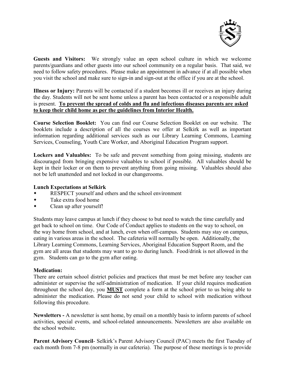

**Guests and Visitors:** We strongly value an open school culture in which we welcome parents/guardians and other guests into our school community on a regular basis. That said, we need to follow safety procedures. Please make an appointment in advance if at all possible when you visit the school and make sure to sign-in and sign-out at the office if you are at the school.

**Illness or Injury:** Parents will be contacted if a student becomes ill or receives an injury during the day. Students will not be sent home unless a parent has been contacted or a responsible adult is present. **To prevent the spread of colds and flu and infectious diseases parents are asked to keep their child home as per the guidelines from Interior Health.** 

**Course Selection Booklet:** You can find our Course Selection Booklet on our website. The booklets include a description of all the courses we offer at Selkirk as well as important information regarding additional services such as our Library Learning Commons, Learning Services, Counseling, Youth Care Worker, and Aboriginal Education Program support.

**Lockers and Valuables:** To be safe and prevent something from going missing, students are discouraged from bringing expensive valuables to school if possible. All valuables should be kept in their locker or on them to prevent anything from going missing. Valuables should also not be left unattended and not locked in our changerooms.

#### **Lunch Expectations at Selkirk**

- RESPECT yourself and others and the school environment
- Take extra food home
- Clean up after yourself!

Students may leave campus at lunch if they choose to but need to watch the time carefully and get back to school on time. Our Code of Conduct applies to students on the way to school, on the way home from school, and at lunch, even when off-campus. Students may stay on campus, eating in various areas in the school. The cafeteria will normally be open. Additionally, the Library Learning Commons, Learning Services, Aboriginal Education Support Room, and the gym are all areas that students may want to go to during lunch. Food/drink is not allowed in the gym. Students can go to the gym after eating.

#### **Medication:**

There are certain school district policies and practices that must be met before any teacher can administer or supervise the self-administration of medication. If your child requires medication throughout the school day, you **MUST** complete a form at the school prior to us being able to administer the medication. Please do not send your child to school with medication without following this procedure.

**Newsletters -** A newsletter is sent home, by email on a monthly basis to inform parents of school activities, special events, and school-related announcements. Newsletters are also available on the school website.

**Parent Advisory Council**- Selkirk's Parent Advisory Council (PAC) meets the first Tuesday of each month from 7-8 pm (normally in our cafeteria). The purpose of these meetings is to provide